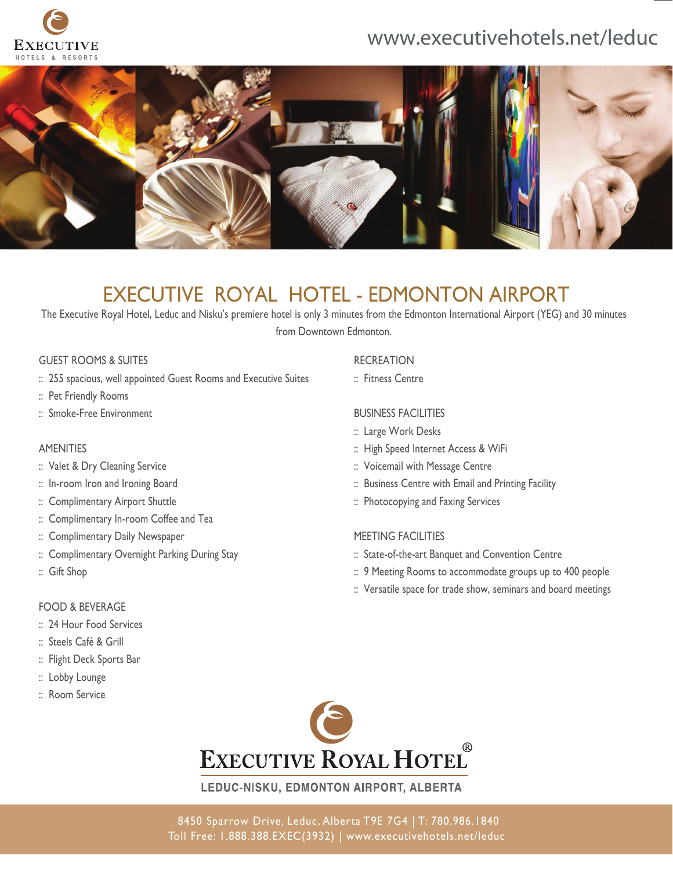

## www.executivehotels.net/leduc



## EXECUTIVE ROYAL HOTEL - EDMONTON AIRPORT

The Executive Royal Hotel, Leduc and Nisku's premiere hotel is only 3 minutes from the Edmonton International Airport (YEG) and 30 minutes from Downtown Edmonton.

#### GUEST ROOMS & SUITES

- :: 255 spacious, well appointed Guest Rooms and Executive Suites
- :: Pet Friendly Rooms
- :: Smoke-Free Environment

#### AMENITIES

- :: Valet & Dry Cleaning Service
- :: In-room Iron and Ironing Board
- :: Complimentary Airport Shuttle
- :: Complimentary In-room Coffee and Tea
- :: Complimentary Daily Newspaper
- :: Complimentary Overnight Parking During Stay
- :: Gift Shop

#### FOOD & BEVERAGE

- :: 24 Hour Food Services
- :: Steels Café & Grill
- :: Flight Deck Sports Bar
- :: Lobby Lounge
- :: Room Service

#### **RECREATION**

:: Fitness Centre

#### BUSINESS FACILITIES

- :: Large Work Desks
- :: High Speed Internet Access & WiFi
- :: Voicemail with Message Centre
- :: Business Centre with Email and Printing Facility
- :: Photocopying and Faxing Services

#### MEETING FACILITIES

- :: State-of-the-art Banquet and Convention Centre
- :: 9 Meeting Rooms to accommodate groups up to 400 people
- :: Versatile space for trade show, seminars and board meetings



LEDUC-NISKU, EDMONTON AIRPORT, ALBERTA

8450 Sparrow Drive, Leduc, Alberta T9E 7G4 | T: 780.986.1840 Toll Free: 1.888.388.EXEC(3932) | www.executivehotels.net/leduc